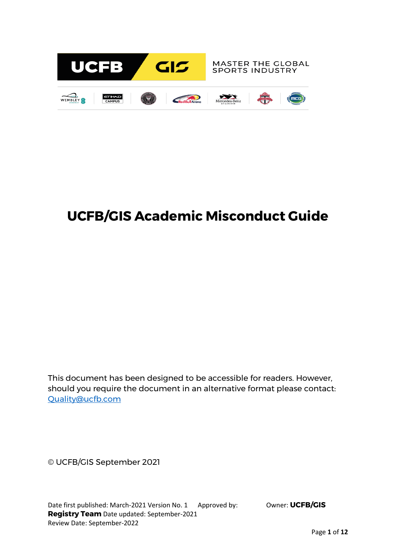

# **UCFB/GIS Academic Misconduct Guide**

This document has been designed to be accessible for readers. However, should you require the document in an alternative format please contact: [Quality@ucfb.com](mailto:Quality@ucfb.com)

© UCFB/GIS September 2021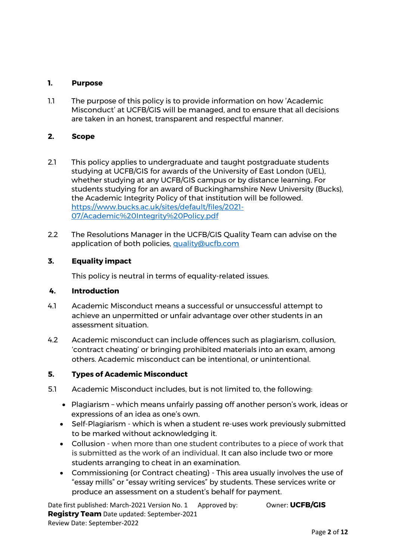## **1. Purpose**

1.1 The purpose of this policy is to provide information on how 'Academic Misconduct' at UCFB/GIS will be managed, and to ensure that all decisions are taken in an honest, transparent and respectful manner.

## **2. Scope**

- 2.1 This policy applies to undergraduate and taught postgraduate students studying at UCFB/GIS for awards of the University of East London (UEL), whether studying at any UCFB/GIS campus or by distance learning. For students studying for an award of Buckinghamshire New University (Bucks), the Academic Integrity Policy of that institution will be followed. [https://www.bucks.ac.uk/sites/default/files/2021-](https://www.bucks.ac.uk/sites/default/files/2021-07/Academic%20Integrity%20Policy.pdf) [07/Academic%20Integrity%20Policy.pdf](https://www.bucks.ac.uk/sites/default/files/2021-07/Academic%20Integrity%20Policy.pdf)
- 2.2 The Resolutions Manager in the UCFB/GIS Quality Team can advise on the application of both policies, [quality@ucfb.com](mailto:quality@ucfb.com)

## **3. Equality impact**

This policy is neutral in terms of equality-related issues.

#### **4. Introduction**

- 4.1 Academic Misconduct means a successful or unsuccessful attempt to achieve an unpermitted or unfair advantage over other students in an assessment situation.
- 4.2 Academic misconduct can include offences such as plagiarism, collusion, 'contract cheating' or bringing prohibited materials into an exam, among others. Academic misconduct can be intentional, or unintentional.

#### **5. Types of Academic Misconduct**

- 5.1 Academic Misconduct includes, but is not limited to, the following:
	- Plagiarism which means unfairly passing off another person's work, ideas or expressions of an idea as one's own.
	- Self-Plagiarism which is when a student re-uses work previously submitted to be marked without acknowledging it.
	- Collusion when more than one student contributes to a piece of work that is submitted as the work of an individual. It can also include two or more students arranging to cheat in an examination.
	- Commissioning {or Contract cheating} This area usually involves the use of "essay mills" or "essay writing services" by students. These services write or produce an assessment on a student's behalf for payment.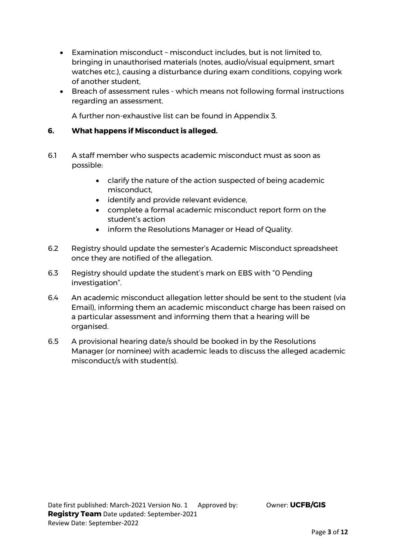- Examination misconduct misconduct includes, but is not limited to, bringing in unauthorised materials (notes, audio/visual equipment, smart watches etc.), causing a disturbance during exam conditions, copying work of another student,
- Breach of assessment rules which means not following formal instructions regarding an assessment.

A further non-exhaustive list can be found in Appendix 3.

#### **6. What happens if Misconduct is alleged.**

- 6.1 A staff member who suspects academic misconduct must as soon as possible:
	- clarify the nature of the action suspected of being academic misconduct,
	- identify and provide relevant evidence,
	- complete a formal academic misconduct report form on the student's action
	- inform the Resolutions Manager or Head of Quality.
- 6.2 Registry should update the semester's Academic Misconduct spreadsheet once they are notified of the allegation.
- 6.3 Registry should update the student's mark on EBS with "0 Pending investigation".
- 6.4 An academic misconduct allegation letter should be sent to the student (via Email), informing them an academic misconduct charge has been raised on a particular assessment and informing them that a hearing will be organised.
- 6.5 A provisional hearing date/s should be booked in by the Resolutions Manager (or nominee) with academic leads to discuss the alleged academic misconduct/s with student(s).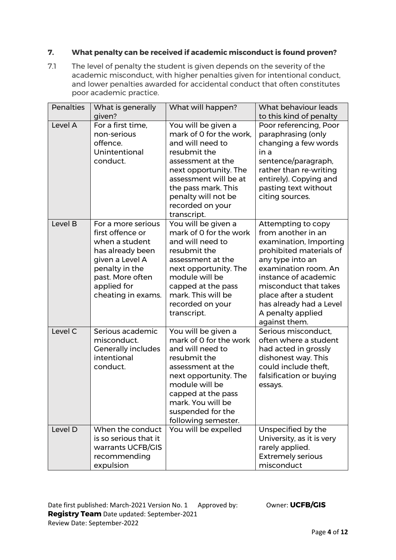## **7. What penalty can be received if academic misconduct is found proven?**

7.1 The level of penalty the student is given depends on the severity of the academic misconduct, with higher penalties given for intentional conduct, and lower penalties awarded for accidental conduct that often constitutes poor academic practice.

| <b>Penalties</b> | What is generally<br>given?                                                                                                                                                | What will happen?                                                                                                                                                                                                                          | What behaviour leads<br>to this kind of penalty                                                                                                                                                                                                                                      |
|------------------|----------------------------------------------------------------------------------------------------------------------------------------------------------------------------|--------------------------------------------------------------------------------------------------------------------------------------------------------------------------------------------------------------------------------------------|--------------------------------------------------------------------------------------------------------------------------------------------------------------------------------------------------------------------------------------------------------------------------------------|
| Level A          | For a first time,<br>non-serious<br>offence.<br>Unintentional<br>conduct.                                                                                                  | You will be given a<br>mark of 0 for the work,<br>and will need to<br>resubmit the<br>assessment at the<br>next opportunity. The<br>assessment will be at<br>the pass mark. This<br>penalty will not be<br>recorded on your<br>transcript. | Poor referencing, Poor<br>paraphrasing (only<br>changing a few words<br>in a<br>sentence/paragraph,<br>rather than re-writing<br>entirely). Copying and<br>pasting text without<br>citing sources.                                                                                   |
| Level B          | For a more serious<br>first offence or<br>when a student<br>has already been<br>given a Level A<br>penalty in the<br>past. More often<br>applied for<br>cheating in exams. | You will be given a<br>mark of 0 for the work<br>and will need to<br>resubmit the<br>assessment at the<br>next opportunity. The<br>module will be<br>capped at the pass<br>mark. This will be<br>recorded on your<br>transcript.           | Attempting to copy<br>from another in an<br>examination, Importing<br>prohibited materials of<br>any type into an<br>examination room. An<br>instance of academic<br>misconduct that takes<br>place after a student<br>has already had a Level<br>A penalty applied<br>against them. |
| Level C          | Serious academic<br>misconduct.<br><b>Generally includes</b><br>intentional<br>conduct.                                                                                    | You will be given a<br>mark of 0 for the work<br>and will need to<br>resubmit the<br>assessment at the<br>next opportunity. The<br>module will be<br>capped at the pass<br>mark. You will be<br>suspended for the<br>following semester.   | Serious misconduct,<br>often where a student<br>had acted in grossly<br>dishonest way. This<br>could include theft,<br>falsification or buying<br>essays.                                                                                                                            |
| Level D          | When the conduct<br>is so serious that it<br>warrants UCFB/GIS<br>recommending<br>expulsion                                                                                | You will be expelled                                                                                                                                                                                                                       | Unspecified by the<br>University, as it is very<br>rarely applied.<br><b>Extremely serious</b><br>misconduct                                                                                                                                                                         |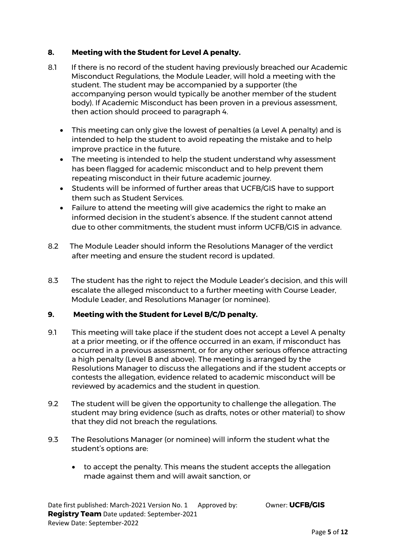## **8. Meeting with the Student for Level A penalty.**

- 8.1 If there is no record of the student having previously breached our Academic Misconduct Regulations, the Module Leader, will hold a meeting with the student. The student may be accompanied by a supporter (the accompanying person would typically be another member of the student body). If Academic Misconduct has been proven in a previous assessment, then action should proceed to paragraph 4.
	- This meeting can only give the lowest of penalties (a Level A penalty) and is intended to help the student to avoid repeating the mistake and to help improve practice in the future.
	- The meeting is intended to help the student understand why assessment has been flagged for academic misconduct and to help prevent them repeating misconduct in their future academic journey.
	- Students will be informed of further areas that UCFB/GIS have to support them such as Student Services.
	- Failure to attend the meeting will give academics the right to make an informed decision in the student's absence. If the student cannot attend due to other commitments, the student must inform UCFB/GIS in advance.
- 8.2 The Module Leader should inform the Resolutions Manager of the verdict after meeting and ensure the student record is updated.
- 8.3 The student has the right to reject the Module Leader's decision, and this will escalate the alleged misconduct to a further meeting with Course Leader, Module Leader, and Resolutions Manager (or nominee).

## **9. Meeting with the Student for Level B/C/D penalty.**

- 9.1 This meeting will take place if the student does not accept a Level A penalty at a prior meeting, or if the offence occurred in an exam, if misconduct has occurred in a previous assessment, or for any other serious offence attracting a high penalty (Level B and above). The meeting is arranged by the Resolutions Manager to discuss the allegations and if the student accepts or contests the allegation, evidence related to academic misconduct will be reviewed by academics and the student in question.
- 9.2 The student will be given the opportunity to challenge the allegation. The student may bring evidence (such as drafts, notes or other material) to show that they did not breach the regulations.
- 9.3 The Resolutions Manager (or nominee) will inform the student what the student's options are:
	- to accept the penalty. This means the student accepts the allegation made against them and will await sanction, or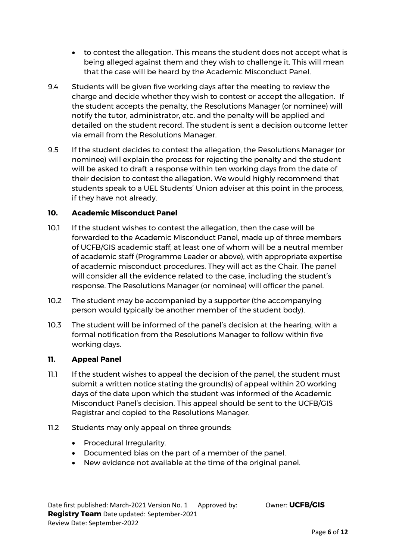- to contest the allegation. This means the student does not accept what is being alleged against them and they wish to challenge it. This will mean that the case will be heard by the Academic Misconduct Panel.
- 9.4 Students will be given five working days after the meeting to review the charge and decide whether they wish to contest or accept the allegation. If the student accepts the penalty, the Resolutions Manager (or nominee) will notify the tutor, administrator, etc. and the penalty will be applied and detailed on the student record. The student is sent a decision outcome letter via email from the Resolutions Manager.
- 9.5 If the student decides to contest the allegation, the Resolutions Manager (or nominee) will explain the process for rejecting the penalty and the student will be asked to draft a response within ten working days from the date of their decision to contest the allegation. We would highly recommend that students speak to a UEL Students' Union adviser at this point in the process, if they have not already.

#### **10. Academic Misconduct Panel**

- 10.1 If the student wishes to contest the allegation, then the case will be forwarded to the Academic Misconduct Panel, made up of three members of UCFB/GIS academic staff, at least one of whom will be a neutral member of academic staff (Programme Leader or above), with appropriate expertise of academic misconduct procedures. They will act as the Chair. The panel will consider all the evidence related to the case, including the student's response. The Resolutions Manager (or nominee) will officer the panel.
- 10.2 The student may be accompanied by a supporter (the accompanying person would typically be another member of the student body).
- 10.3 The student will be informed of the panel's decision at the hearing, with a formal notification from the Resolutions Manager to follow within five working days.

#### **11. Appeal Panel**

- 11.1 If the student wishes to appeal the decision of the panel, the student must submit a written notice stating the ground(s) of appeal within 20 working days of the date upon which the student was informed of the Academic Misconduct Panel's decision. This appeal should be sent to the UCFB/GIS Registrar and copied to the Resolutions Manager.
- 11.2 Students may only appeal on three grounds:
	- Procedural Irregularity.
	- Documented bias on the part of a member of the panel.
	- New evidence not available at the time of the original panel.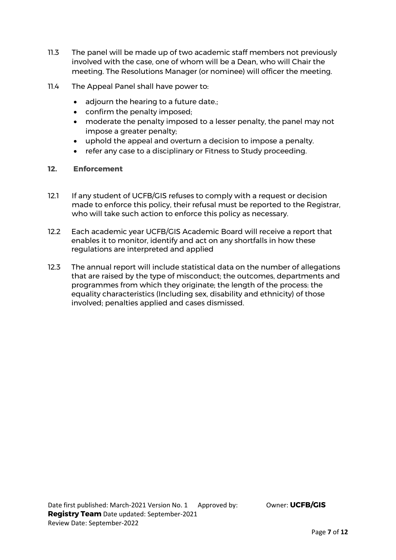- 11.3 The panel will be made up of two academic staff members not previously involved with the case, one of whom will be a Dean, who will Chair the meeting. The Resolutions Manager (or nominee) will officer the meeting.
- 11.4 The Appeal Panel shall have power to:
	- adiourn the hearing to a future date.:
	- confirm the penalty imposed;
	- moderate the penalty imposed to a lesser penalty, the panel may not impose a greater penalty;
	- uphold the appeal and overturn a decision to impose a penalty.
	- refer any case to a disciplinary or Fitness to Study proceeding.

#### **12. Enforcement**

- 12.1 If any student of UCFB/GIS refuses to comply with a request or decision made to enforce this policy, their refusal must be reported to the Registrar, who will take such action to enforce this policy as necessary.
- 12.2 Each academic year UCFB/GIS Academic Board will receive a report that enables it to monitor, identify and act on any shortfalls in how these regulations are interpreted and applied
- 12.3 The annual report will include statistical data on the number of allegations that are raised by the type of misconduct; the outcomes, departments and programmes from which they originate; the length of the process: the equality characteristics (Including sex, disability and ethnicity) of those involved; penalties applied and cases dismissed.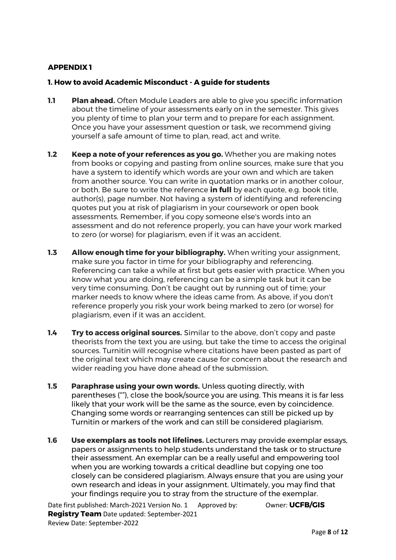## **APPENDIX 1**

#### **1. How to avoid Academic Misconduct - A guide for students**

- **1.1 Plan ahead.** Often Module Leaders are able to give you specific information about the timeline of your assessments early on in the semester. This gives you plenty of time to plan your term and to prepare for each assignment. Once you have your assessment question or task, we recommend giving yourself a safe amount of time to plan, read, act and write.
- **1.2 Keep a note of your references as you go.** Whether you are making notes from books or copying and pasting from online sources, make sure that you have a system to identify which words are your own and which are taken from another source. You can write in quotation marks or in another colour, or both. Be sure to write the reference **in full** by each quote, e.g. book title, author(s), page number. Not having a system of identifying and referencing quotes put you at risk of plagiarism in your coursework or open book assessments. Remember, if you copy someone else's words into an assessment and do not reference properly, you can have your work marked to zero (or worse) for plagiarism, even if it was an accident.
- **1.3 Allow enough time for your bibliography.** When writing your assignment, make sure you factor in time for your bibliography and referencing. Referencing can take a while at first but gets easier with practice. When you know what you are doing, referencing can be a simple task but it can be very time consuming. Don't be caught out by running out of time; your marker needs to know where the ideas came from. As above, if you don't reference properly you risk your work being marked to zero (or worse) for plagiarism, even if it was an accident.
- **1.4 Try to access original sources.** Similar to the above, don't copy and paste theorists from the text you are using, but take the time to access the original sources. Turnitin will recognise where citations have been pasted as part of the original text which may create cause for concern about the research and wider reading you have done ahead of the submission.
- **1.5 Paraphrase using your own words.** Unless quoting directly, with parentheses (""), close the book/source you are using. This means it is far less likely that your work will be the same as the source, even by coincidence. Changing some words or rearranging sentences can still be picked up by Turnitin or markers of the work and can still be considered plagiarism.
- **1.6 Use exemplars as tools not lifelines.** Lecturers may provide exemplar essays, papers or assignments to help students understand the task or to structure their assessment. An exemplar can be a really useful and empowering tool when you are working towards a critical deadline but copying one too closely can be considered plagiarism. Always ensure that you are using your own research and ideas in your assignment. Ultimately, you may find that your findings require you to stray from the structure of the exemplar.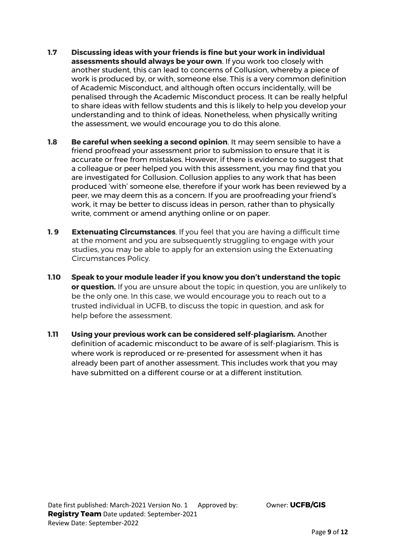- **1.7 Discussing ideas with your friends is fine but your work in individual assessments should always be your own**. If you work too closely with another student, this can lead to concerns of Collusion, whereby a piece of work is produced by, or with, someone else. This is a very common definition of Academic Misconduct, and although often occurs incidentally, will be penalised through the Academic Misconduct process. It can be really helpful to share ideas with fellow students and this is likely to help you develop your understanding and to think of ideas. Nonetheless, when physically writing the assessment, we would encourage you to do this alone.
- **1.8 Be careful when seeking a second opinion**. It may seem sensible to have a friend proofread your assessment prior to submission to ensure that it is accurate or free from mistakes. However, if there is evidence to suggest that a colleague or peer helped you with this assessment, you may find that you are investigated for Collusion. Collusion applies to any work that has been produced 'with' someone else, therefore if your work has been reviewed by a peer, we may deem this as a concern. If you are proofreading your friend's work, it may be better to discuss ideas in person, rather than to physically write, comment or amend anything online or on paper.
- **1.9 Extenuating Circumstances**. If you feel that you are having a difficult time at the moment and you are subsequently struggling to engage with your studies, you may be able to apply for an extension using the Extenuating Circumstances Policy.
- **1.10 Speak to your module leader if you know you don't understand the topic or question.** If you are unsure about the topic in question, you are unlikely to be the only one. In this case, we would encourage you to reach out to a trusted individual in UCFB, to discuss the topic in question, and ask for help before the assessment.
- **1.11 Using your previous work can be considered self-plagiarism.** Another definition of academic misconduct to be aware of is self-plagiarism. This is where work is reproduced or re-presented for assessment when it has already been part of another assessment. This includes work that you may have submitted on a different course or at a different institution.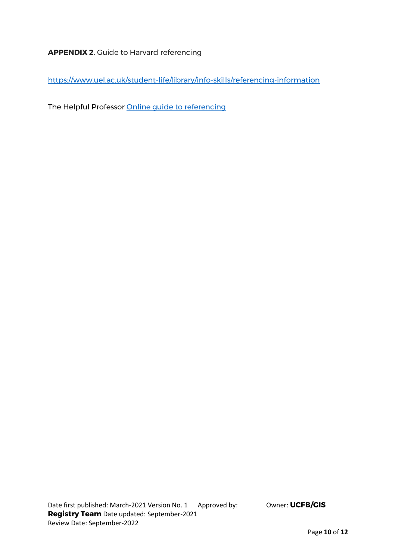## **APPENDIX 2**. Guide to Harvard referencing

<https://www.uel.ac.uk/student-life/library/info-skills/referencing-information>

The Helpful Professor [Online guide to referencing](https://www.youtube.com/watch?v=vZIu2pfbN6Q)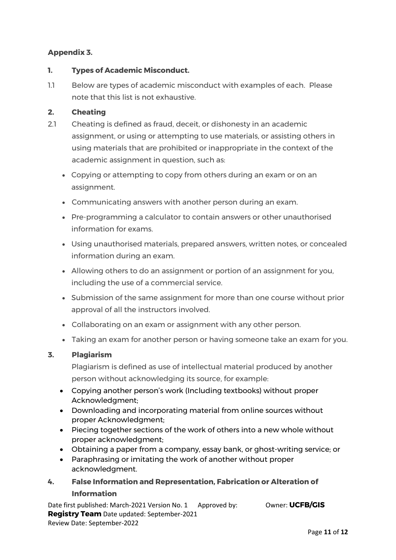## **Appendix 3.**

## **1. Types of Academic Misconduct.**

1.1 Below are types of academic misconduct with examples of each. Please note that this list is not exhaustive.

## **2. Cheating**

- 2.1 Cheating is defined as fraud, deceit, or dishonesty in an academic assignment, or using or attempting to use materials, or assisting others in using materials that are prohibited or inappropriate in the context of the academic assignment in question, such as:
	- Copying or attempting to copy from others during an exam or on an assignment.
	- Communicating answers with another person during an exam.
	- Pre-programming a calculator to contain answers or other unauthorised information for exams.
	- Using unauthorised materials, prepared answers, written notes, or concealed information during an exam.
	- Allowing others to do an assignment or portion of an assignment for you, including the use of a commercial service.
	- Submission of the same assignment for more than one course without prior approval of all the instructors involved.
	- Collaborating on an exam or assignment with any other person.
	- Taking an exam for another person or having someone take an exam for you.

## **3. Plagiarism**

Plagiarism is defined as use of intellectual material produced by another person without acknowledging its source, for example:

- Copying another person's work (Including textbooks) without proper Acknowledgment;
- Downloading and incorporating material from online sources without proper Acknowledgment;
- Piecing together sections of the work of others into a new whole without proper acknowledgment;
- Obtaining a paper from a company, essay bank, or ghost-writing service; or
- Paraphrasing or imitating the work of another without proper acknowledgment.
- **4. False Information and Representation, Fabrication or Alteration of Information**